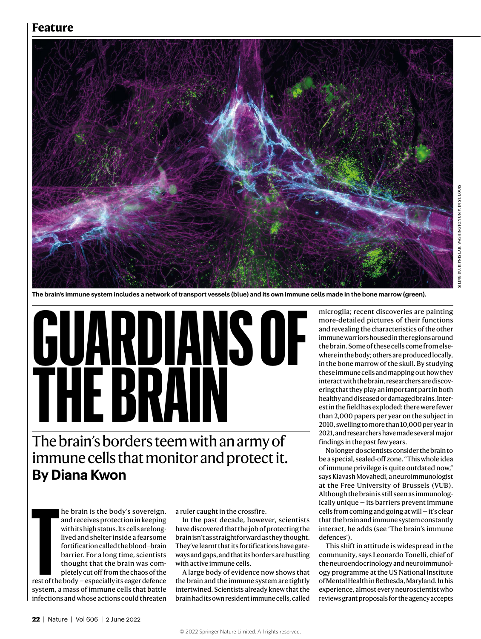## **Feature**



**The brain's immune system includes a network of transport vessels (blue) and its own immune cells made in the bone marrow (green).**

**GUARDIANS OF THE BRAIN**

The brain's borders teem with an army of immune cells that monitor and protect it. **By Diana Kwon**

> he brain is the body's sovereign, and receives protection in keeping with its high status. Its cells are longlived and shelter inside a fearsome fortification called the blood–brain barrier. For a long time, scientists thought that the brain was completely cut off from the chaos of the

**The CONTENT CONTENT**<br>The CONTENT CONTENT OF THE CONTENT OF THE CONTENT OF THE CONTENT OF THE CONTENT OF THE CONTENT OF THE CONTENT OF THE CONTENT OF THE CONTENT OF THE CONTENT OF THE CONTENT OF THE CONTENT OF THE CONTENT rest of the body — especially its eager defence system, a mass of immune cells that battle infections and whose actions could threaten

a ruler caught in the crossfire.

In the past decade, however, scientists have discovered that the job of protecting the brain isn't as straightforward as they thought. They've learnt that its fortifications have gateways and gaps, and that its borders are bustling with active immune cells.

A large body of evidence now shows that the brain and the immune system are tightly intertwined. Scientists already knew that the brain had its own resident immune cells, called

microglia; recent discoveries are painting more-detailed pictures of their functions and revealing the characteristics of the other immune warriors housed in the regions around the brain. Some of these cells come from elsewhere in the body; others are produced locally, in the bone marrow of the skull. By studying these immune cells and mapping out how they interact with the brain, researchers are discovering that they play an important part in both healthy and diseased or damaged brains. Interest in the field has exploded: there were fewer than 2,000 papers per year on the subject in 2010, swelling to more than 10,000 per year in 2021, and researchers have made several major findings in the past few years.

No longer do scientists consider the brain to be a special, sealed-off zone. "This whole idea of immune privilege is quite outdated now," says Kiavash Movahedi, a neuroimmunologist at the Free University of Brussels (VUB). Although the brain is still seen as immunologically unique — its barriers prevent immune cells from coming and going at will — it's clear that the brain and immune system constantly interact, he adds (see 'The brain's immune defences').

This shift in attitude is widespread in the community, says Leonardo Tonelli, chief of the neuroendocrinology and neuroimmunology programme at the US National Institute of Mental Health in Bethesda, Maryland. In his experience, almost every neuroscientist who reviews grant proposals for the agency accepts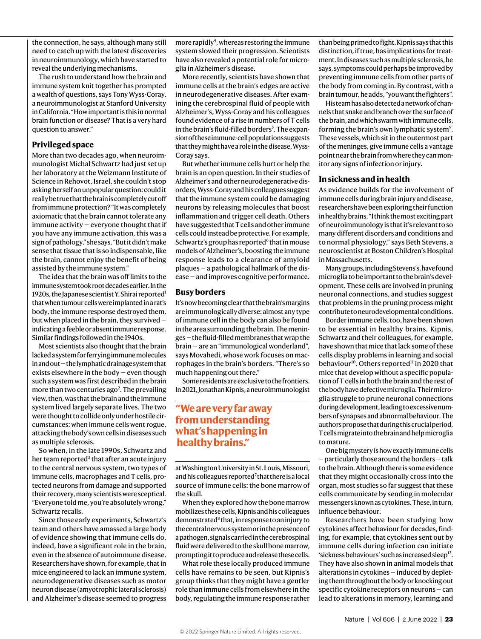the connection, he says, although many still need to catch up with the latest discoveries in neuroimmunology, which have started to reveal the underlying mechanisms.

The rush to understand how the brain and immune system knit together has prompted a wealth of questions, says Tony Wyss-Coray, a neuroimmunologist at Stanford University in California. "How important is this in normal brain function or disease? That is a very hard question to answer."

#### **Privileged space**

More than two decades ago, when neuroimmunologist Michal Schwartz had just set up her laboratory at the Weizmann Institute of Science in Rehovot, Israel, she couldn't stop asking herself an unpopular question: could it really be true that the brain is completely cut off from immune protection? "It was completely axiomatic that the brain cannot tolerate any immune activity — everyone thought that if you have any immune activation, this was a sign of pathology," she says. "But it didn't make sense that tissue that is so indispensable, like the brain, cannot enjoy the benefit of being assisted by the immune system."

The idea that the brain was off limits to the immune system took root decades earlier. In the 1920s, the Japanese scientist Y. Shirai reported<sup>1</sup> that when tumour cells were implanted in a rat's body, the immune response destroyed them, but when placed in the brain, they survived indicating a feeble or absent immune response. Similar findings followed in the 1940s.

Most scientists also thought that the brain lacked a system for ferrying immune molecules in and out — the lymphatic drainage system that exists elsewhere in the body — even though such a system was first described in the brain more than two centuries ago<sup>2</sup>. The prevailing view, then, was that the brain and the immune system lived largely separate lives. The two were thought to collide only under hostile circumstances: when immune cells went rogue, attacking the body's own cells in diseases such as multiple sclerosis.

So when, in the late 1990s, Schwartz and her team reported<sup>3</sup> that after an acute injury to the central nervous system, two types of immune cells, macrophages and T cells, protected neurons from damage and supported their recovery, many scientists were sceptical. "Everyone told me, you're absolutely wrong," Schwartz recalls.

Since those early experiments, Schwartz's team and others have amassed a large body of evidence showing that immune cells do, indeed, have a significant role in the brain, even in the absence of autoimmune disease. Researchers have shown, for example, that in mice engineered to lack an immune system, neurodegenerative diseases such as motor neuron disease (amyotrophic lateral sclerosis) and Alzheimer's disease seemed to progress

more rapidly<sup>4</sup>, whereas restoring the immune system slowed their progression. Scientists have also revealed a potential role for microglia in Alzheimer's disease.

More recently, scientists have shown that immune cells at the brain's edges are active in neurodegenerative diseases. After examining the cerebrospinal fluid of people with Alzheimer's, Wyss-Coray and his colleagues found evidence of a rise in numbers of T cells in the brain's fluid-filled borders<sup>5</sup>. The expansion of these immune-cell populations suggests that they might have a role in the disease, Wyss-Coray says.

But whether immune cells hurt or help the brain is an open question. In their studies of Alzheimer's and other neurodegenerative disorders, Wyss-Coray and his colleagues suggest that the immune system could be damaging neurons by releasing molecules that boost inflammation and trigger cell death. Others have suggested that T cells and other immune cells could instead be protective. For example, Schwartz's group has reported<sup>6</sup> that in mouse models of Alzheimer's, boosting the immune response leads to a clearance of amyloid plaques — a pathological hallmark of the disease — and improves cognitive performance.

### **Busy borders**

It's now becoming clear that the brain's margins are immunologically diverse: almost any type of immune cell in the body can also be found in the area surrounding the brain. The meninges — the fluid-filled membranes that wrap the brain — are an "immunological wonderland", says Movahedi, whose work focuses on macrophages in the brain's borders. "There's so much happening out there."

Some residents are exclusive to the frontiers. In 2021, Jonathan Kipnis, a neuroimmunologist

### **"We are very far away from understanding what's happening in healthy brains."**

at Washington University in St. Louis, Missouri, and his colleagues reported<sup>7</sup> that there is a local source of immune cells: the bone marrow of the skull.

When they explored how the bone marrow mobilizes these cells, Kipnis and his colleagues demonstrated<sup>8</sup> that, in response to an injury to the central nervous system or in the presence of a pathogen, signals carried in the cerebrospinal fluid were delivered to the skull bone marrow, prompting it to produce and release these cells.

What role these locally produced immune cells have remains to be seen, but Kipnis's group thinks that they might have a gentler role than immune cells from elsewhere in the body, regulating the immune response rather than being primed to fight. Kipnis says that this distinction, if true, has implications for treatment. In diseases such as multiple sclerosis, he says, symptoms could perhaps be improved by preventing immune cells from other parts of the body from coming in. By contrast, with a brain tumour, he adds, "you want the fighters".

His team has also detected a network of channels that snake and branch over the surface of the brain, and which swarm with immune cells, forming the brain's own lymphatic system<sup>9</sup>. These vessels, which sit in the outermost part of the meninges, give immune cells a vantage point near the brain from where they can monitor any signs of infection or injury.

### **In sickness and in health**

As evidence builds for the involvement of immune cells during brain injury and disease, researchers have been exploring their function in healthy brains. "I think the most exciting part of neuroimmunology is that it's relevant to so many different disorders and conditions and to normal physiology," says Beth Stevens, a neuroscientist at Boston Children's Hospital in Massachusetts.

Many groups, including Stevens's, have found microglia to be important to the brain's development. These cells are involved in pruning neuronal connections, and studies suggest that problems in the pruning process might contribute to neurodevelopmental conditions.

Border immune cells, too, have been shown to be essential in healthy brains. Kipnis, Schwartz and their colleagues, for example, have shown that mice that lack some of these cells display problems in learning and social behaviour<sup>10</sup>. Others reported<sup>11</sup> in 2020 that mice that develop without a specific population of T cells in both the brain and the rest of the body have defective microglia. Their microglia struggle to prune neuronal connections during development, leading to excessive numbers of synapses and abnormal behaviour. The authors propose that during this crucial period, T cells migrate into the brain and help microglia to mature.

One big mystery is how exactly immune cells — particularly those around the borders — talk to the brain. Although there is some evidence that they might occasionally cross into the organ, most studies so far suggest that these cells communicate by sending in molecular messengers known as cytokines. These, in turn, influence behaviour.

Researchers have been studying how cytokines affect behaviour for decades, finding, for example, that cytokines sent out by immune cells during infection can initiate 'sickness behaviours' such as increased sleep $^{12}$ . They have also shown in animal models that alterations in cytokines — induced by depleting them throughout the body or knocking out specific cytokine receptors on neurons — can lead to alterations in memory, learning and